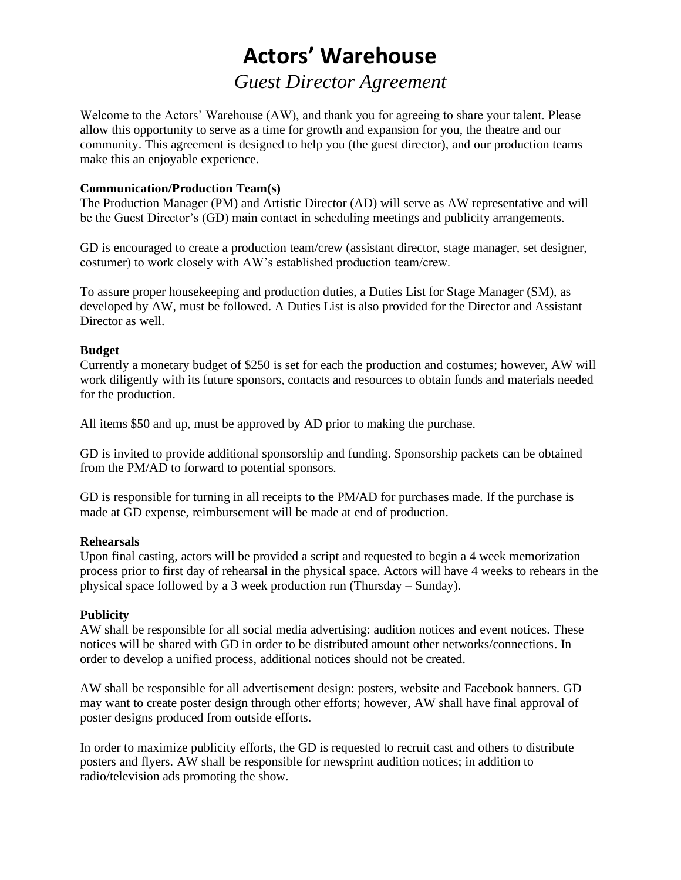# **Actors' Warehouse**

## *Guest Director Agreement*

Welcome to the Actors' Warehouse (AW), and thank you for agreeing to share your talent. Please allow this opportunity to serve as a time for growth and expansion for you, the theatre and our community. This agreement is designed to help you (the guest director), and our production teams make this an enjoyable experience.

#### **Communication/Production Team(s)**

The Production Manager (PM) and Artistic Director (AD) will serve as AW representative and will be the Guest Director's (GD) main contact in scheduling meetings and publicity arrangements.

GD is encouraged to create a production team/crew (assistant director, stage manager, set designer, costumer) to work closely with AW's established production team/crew.

To assure proper housekeeping and production duties, a Duties List for Stage Manager (SM), as developed by AW, must be followed. A Duties List is also provided for the Director and Assistant Director as well.

#### **Budget**

Currently a monetary budget of \$250 is set for each the production and costumes; however, AW will work diligently with its future sponsors, contacts and resources to obtain funds and materials needed for the production.

All items \$50 and up, must be approved by AD prior to making the purchase.

GD is invited to provide additional sponsorship and funding. Sponsorship packets can be obtained from the PM/AD to forward to potential sponsors.

GD is responsible for turning in all receipts to the PM/AD for purchases made. If the purchase is made at GD expense, reimbursement will be made at end of production.

#### **Rehearsals**

Upon final casting, actors will be provided a script and requested to begin a 4 week memorization process prior to first day of rehearsal in the physical space. Actors will have 4 weeks to rehears in the physical space followed by a 3 week production run (Thursday – Sunday).

#### **Publicity**

AW shall be responsible for all social media advertising: audition notices and event notices. These notices will be shared with GD in order to be distributed amount other networks/connections. In order to develop a unified process, additional notices should not be created.

AW shall be responsible for all advertisement design: posters, website and Facebook banners. GD may want to create poster design through other efforts; however, AW shall have final approval of poster designs produced from outside efforts.

In order to maximize publicity efforts, the GD is requested to recruit cast and others to distribute posters and flyers. AW shall be responsible for newsprint audition notices; in addition to radio/television ads promoting the show.